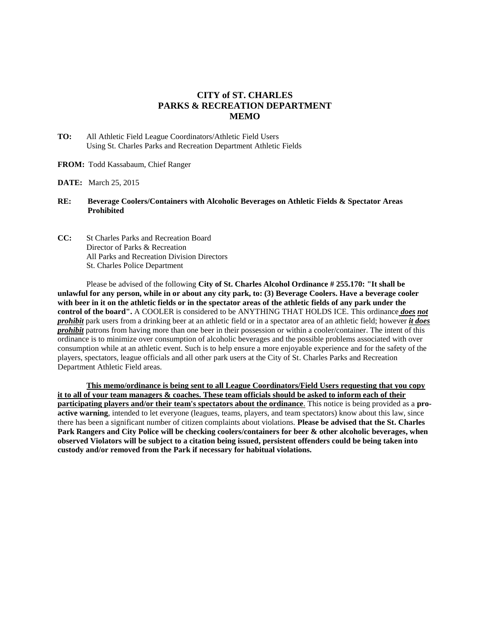## **CITY of ST. CHARLES PARKS & RECREATION DEPARTMENT MEMO**

- **TO:** All Athletic Field League Coordinators/Athletic Field Users Using St. Charles Parks and Recreation Department Athletic Fields
- **FROM:** Todd Kassabaum, Chief Ranger
- **DATE:** March 25, 2015
- **RE: Beverage Coolers/Containers with Alcoholic Beverages on Athletic Fields & Spectator Areas Prohibited**
- **CC:** St Charles Parks and Recreation Board Director of Parks & Recreation All Parks and Recreation Division Directors St. Charles Police Department

Please be advised of the following **City of St. Charles Alcohol Ordinance # 255.170: "It shall be unlawful for any person, while in or about any city park, to: (3) Beverage Coolers. Have a beverage cooler with beer in it on the athletic fields or in the spectator areas of the athletic fields of any park under the control of the board".** A COOLER is considered to be ANYTHING THAT HOLDS ICE. This ordinance *does not prohibit* park users from a drinking beer at an athletic field or in a spectator area of an athletic field; however *it does prohibit* patrons from having more than one beer in their possession or within a cooler/container. The intent of this ordinance is to minimize over consumption of alcoholic beverages and the possible problems associated with over consumption while at an athletic event. Such is to help ensure a more enjoyable experience and for the safety of the players, spectators, league officials and all other park users at the City of St. Charles Parks and Recreation Department Athletic Field areas.

**This memo/ordinance is being sent to all League Coordinators/Field Users requesting that you copy it to all of your team managers & coaches. These team officials should be asked to inform each of their participating players and/or their team's spectators about the ordinance**. This notice is being provided as a **proactive warning**, intended to let everyone (leagues, teams, players, and team spectators) know about this law, since there has been a significant number of citizen complaints about violations. **Please be advised that the St. Charles Park Rangers and City Police will be checking coolers/containers for beer & other alcoholic beverages, when observed Violators will be subject to a citation being issued, persistent offenders could be being taken into custody and/or removed from the Park if necessary for habitual violations.**